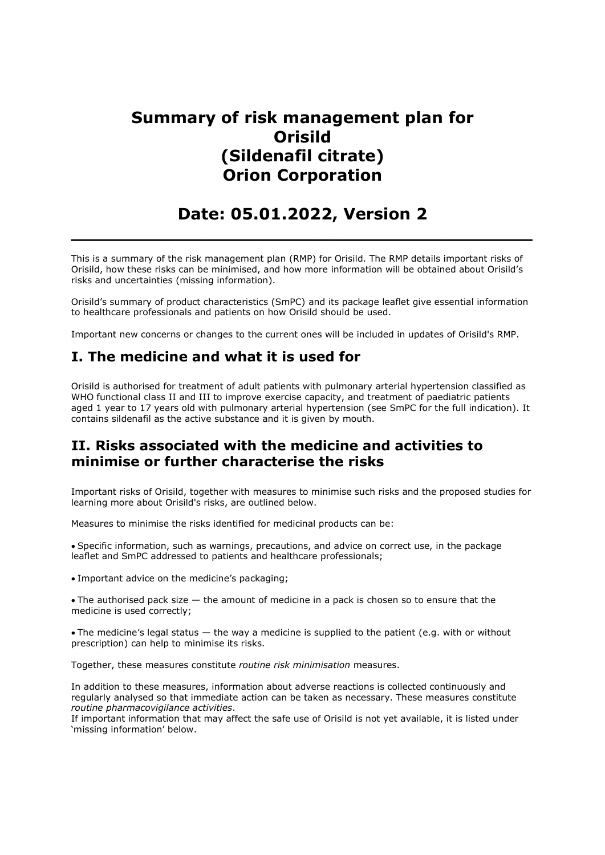## Summary of risk management plan for **Orisild** (Sildenafil citrate) Orion Corporation

# Date: 05.01.2022, Version 2

 $\_$  , and the set of the set of the set of the set of the set of the set of the set of the set of the set of the set of the set of the set of the set of the set of the set of the set of the set of the set of the set of th

This is a summary of the risk management plan (RMP) for Orisild. The RMP details important risks of Orisild, how these risks can be minimised, and how more information will be obtained about Orisild's risks and uncertainties (missing information).

Orisild's summary of product characteristics (SmPC) and its package leaflet give essential information to healthcare professionals and patients on how Orisild should be used.

Important new concerns or changes to the current ones will be included in updates of Orisild's RMP.

## I. The medicine and what it is used for

Orisild is authorised for treatment of adult patients with pulmonary arterial hypertension classified as WHO functional class II and III to improve exercise capacity, and treatment of paediatric patients aged 1 year to 17 years old with pulmonary arterial hypertension (see SmPC for the full indication). It contains sildenafil as the active substance and it is given by mouth.

### II. Risks associated with the medicine and activities to minimise or further characterise the risks

Important risks of Orisild, together with measures to minimise such risks and the proposed studies for learning more about Orisild's risks, are outlined below.

Measures to minimise the risks identified for medicinal products can be:

Specific information, such as warnings, precautions, and advice on correct use, in the package leaflet and SmPC addressed to patients and healthcare professionals;

Important advice on the medicine's packaging;

The authorised pack size — the amount of medicine in a pack is chosen so to ensure that the medicine is used correctly;

The medicine's legal status — the way a medicine is supplied to the patient (e.g. with or without prescription) can help to minimise its risks.

Together, these measures constitute *routine risk minimisation* measures.

In addition to these measures, information about adverse reactions is collected continuously and regularly analysed so that immediate action can be taken as necessary. These measures constitute routine pharmacovigilance activities.

If important information that may affect the safe use of Orisild is not yet available, it is listed under 'missing information' below.